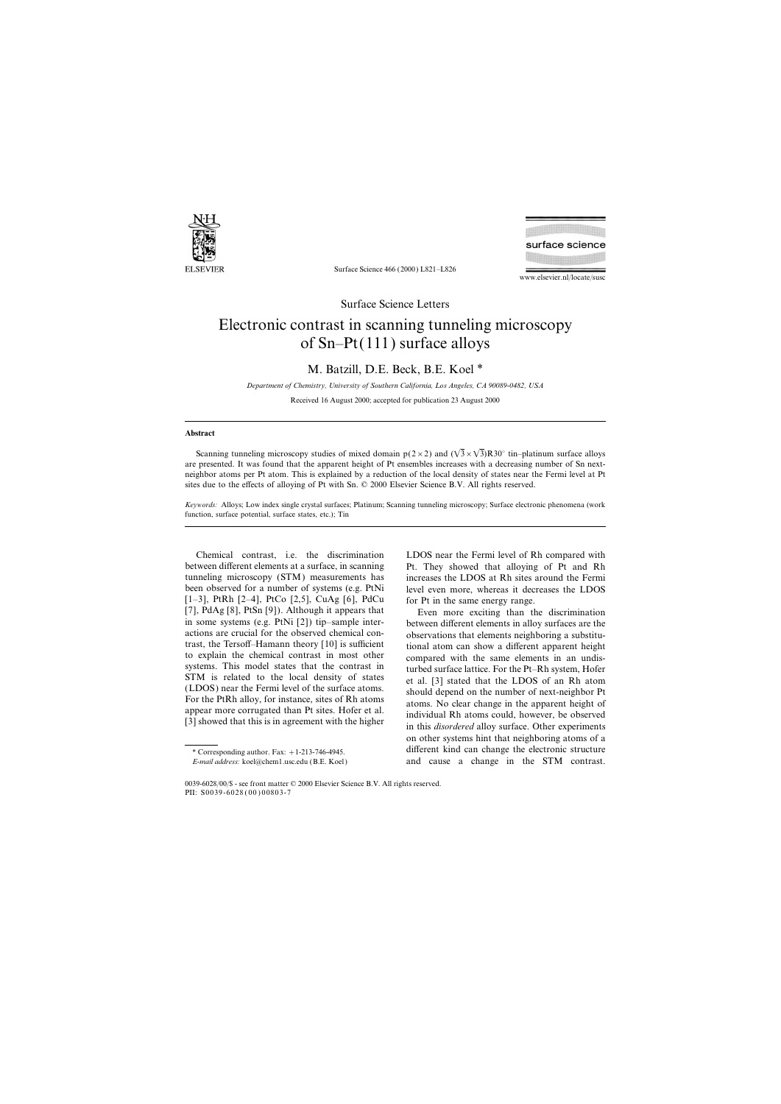

Surface Science 466 (2000) L821–L826



www.elsevier.nl/locate/susc

Surface Science Letters

# Electronic contrast in scanning tunneling microscopy of Sn–Pt(111) surface alloys

## M. Batzill, D.E. Beck, B.E. Koel \*

*Department of Chemistry, University of Southern California, Los Angeles, CA 90089-0482, USA*

Received 16 August 2000; accepted for publication 23 August 2000

### **Abstract**

Scanning tunneling microscopy studies of mixed domain  $p(2\times2)$  and  $(\sqrt{3}\times\sqrt{3})R30^\circ$  tin–platinum surface alloys are presented. It was found that the apparent height of Pt ensembles increases with a decreasing number of Sn nextneighbor atoms per Pt atom. This is explained by a reduction of the local density of states near the Fermi level at Pt sites due to the effects of alloying of Pt with Sn. © 2000 Elsevier Science B.V. All rights reserved.

*Keywords:* Alloys; Low index single crystal surfaces; Platinum; Scanning tunneling microscopy; Surface electronic phenomena (work function, surface potential, surface states, etc.); Tin

between different elements at a surface, in scanning Pt. They showed that alloying of Pt and Rh tunneling microscopy (STM) measurements has increases the LDOS at Rh sites around the Fermi been observed for a number of systems (e.g. PtNi level even more, whereas it decreases the LDOS  $[1-3]$ , PtRh  $[2-4]$ , PtCo  $[2,5]$ , CuAg  $[6]$ , PdCu for Pt in the same energy range. [7], PdAg [8], PtSn [9]). Although it appears that Even more exciting than the discrimination in some systems (e.g. PtNi [2]) tip-sample inter-<br>between different elements in alloy surfaces are the in some systems (e.g. PtNi  $[2]$ ) tip–sample inter-<br>actions are crucial for the observed chemical con-<br>observations that elements neighboring a substituactions are crucial for the observed chemical con-<br>trast, the Tersoff–Hamann theory [10] is sufficient the constant constant above a different apparent height

Chemical contrast, i.e. the discrimination LDOS near the Fermi level of Rh compared with

trast, the Tersoff-Hamann theory [10] is sufficient<br>to explain the chemical contrast in most other<br>systems. This model states that the contrast in<br>STM is related to the local density of states<br>(LDOS) near the Fermi level o on other systems hint that neighboring atoms of a different kind can change the electronic structure \* Corresponding author. Fax: <sup>+</sup>1-213-746-4945. *E-mail address:* koel@chem1.usc.edu (B.E. Koel) and cause a change in the STM contrast.

<sup>0039-6028</sup>/00/\$ - see front matter © 2000 Elsevier Science B.V. All rights reserved. PII: S0039-6028 ( 00 ) 00803-7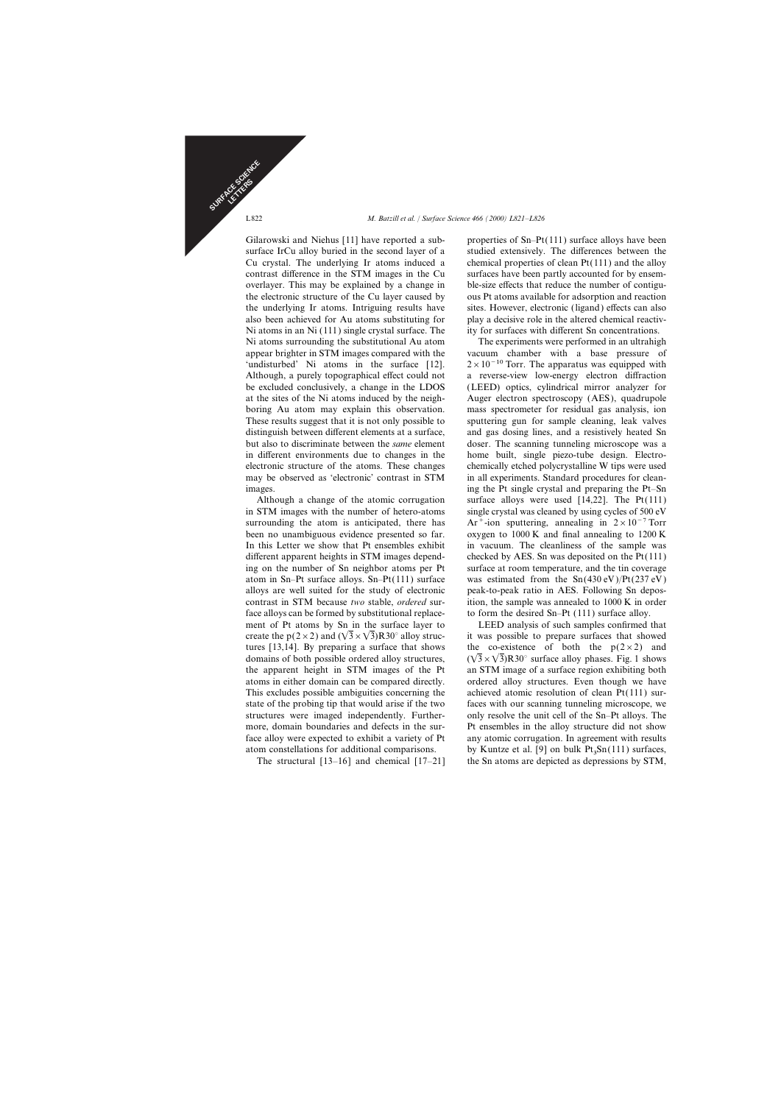surface IrCu alloy buried in the second layer of a studied extensively. The differences between the Cu crystal. The underlying Ir atoms induced a chemical properties of clean  $Pt(111)$  and the alloy contrast difference in the STM images in the Cu surfaces have been partly accounted for by ensemoverlayer. This may be explained by a change in ble-size effects that reduce the number of contiguthe electronic structure of the Cu layer caused by ous Pt atoms available for adsorption and reaction the underlying Ir atoms. Intriguing results have sites. However, electronic (ligand) effects can also also been achieved for Au atoms substituting for play a decisive role in the altered chemical reactiv-Ni atoms in an Ni (111) single crystal surface. The ity for surfaces with different Sn concentrations. Ni atoms surrounding the substitutional Au atom The experiments were performed in an ultrahigh appear brighter in STM images compared with the vacuum chamber with a base pressure of 'undisturbed' Ni atoms in the surface [12].  $2 \times 10^{-10}$  Torr. The apparatus was equipped with Although, a purely topographical effect could not a reverse-view low-energy electron diffraction be excluded conclusively, a change in the LDOS (LEED) optics, cylindrical mirror analyzer for at the sites of the Ni atoms induced by the neigh- Auger electron spectroscopy (AES), quadrupole boring Au atom may explain this observation. mass spectrometer for residual gas analysis, ion These results suggest that it is not only possible to sputtering gun for sample cleaning, leak valves distinguish between different elements at a surface, and gas dosing lines, and a resistively heated Sn but also to discriminate between the *same* element doser. The scanning tunneling microscope was a in different environments due to changes in the home built, single piezo-tube design. Electroelectronic structure of the atoms. These changes chemically etched polycrystalline W tips were used may be observed as 'electronic' contrast in STM in all experiments. Standard procedures for cleanimages. ing the Pt single crystal and preparing the Pt–Sn

in STM images with the number of hetero-atoms single crystal was cleaned by using cycles of  $500 \text{ eV}$ surrounding the atom is anticipated, there has Ar<sup>+</sup>-ion sputtering, annealing in  $2 \times 10^{-7}$  Torr been no unambiguous evidence presented so far.  $\alpha$  oxygen to 1000 K and final annealing to 1200 K In this Letter we show that Pt ensembles exhibit in vacuum. The cleanliness of the sample was different apparent heights in STM images depend-<br>checked by AES. Sn was deposited on the Pt(111) ing on the number of Sn neighbor atoms per Pt surface at room temperature, and the tin coverage atom in Sn–Pt surface alloys. Sn–Pt(111) surface was estimated from the  $Sn(430 \text{ eV})/Pt(237 \text{ eV})$ alloys are well suited for the study of electronic peak-to-peak ratio in AES. Following Sn deposcontrast in STM because *two* stable, *ordered* sur- ition, the sample was annealed to 1000 K in order face alloys can be formed by substitutional replace- to form the desired Sn–Pt (111) surface alloy. ment of Pt atoms by Sn in the surface layer to LEED analysis of such samples confirmed that create the p(2 × 2) and  $(\sqrt{3} \times \sqrt{3})R30^\circ$  alloy struc- it was possible to prepare surfaces that showed tures [13,14]. By preparing a surface that shows the co-existence of both the  $p(2\times2)$  and domains of both possible ordered alloy structures,  $(\sqrt{3} \times \sqrt{3})R30^\circ$  surface alloy phases. Fig. 1 shows the apparent height in STM images of the Pt an STM image of a surface region exhibiting both atoms in either domain can be compared directly. ordered alloy structures. Even though we have This excludes possible ambiguities concerning the achieved atomic resolution of clean Pt(111) surstate of the probing tip that would arise if the two faces with our scanning tunneling microscope, we structures were imaged independently. Further- only resolve the unit cell of the Sn–Pt alloys. The more, domain boundaries and defects in the sur- Pt ensembles in the alloy structure did not show face alloy were expected to exhibit a variety of Pt any atomic corrugation. In agreement with results

atom constellations for additional comparisons.<br>The structural  $[13-16]$  and chemical  $[17-21]$ 

Gilarowski and Niehus [11] have reported a sub-<br>properties of Sn-Pt(111) surface alloys have been

Although a change of the atomic corrugation surface alloys were used  $[14,22]$ . The Pt $(111)$ 

by Kuntze et al. [9] on bulk  $Pt<sub>3</sub>Sn(111)$  surfaces, the Sn atoms are depicted as depressions by STM,

SURFACE SCREEK CE STRS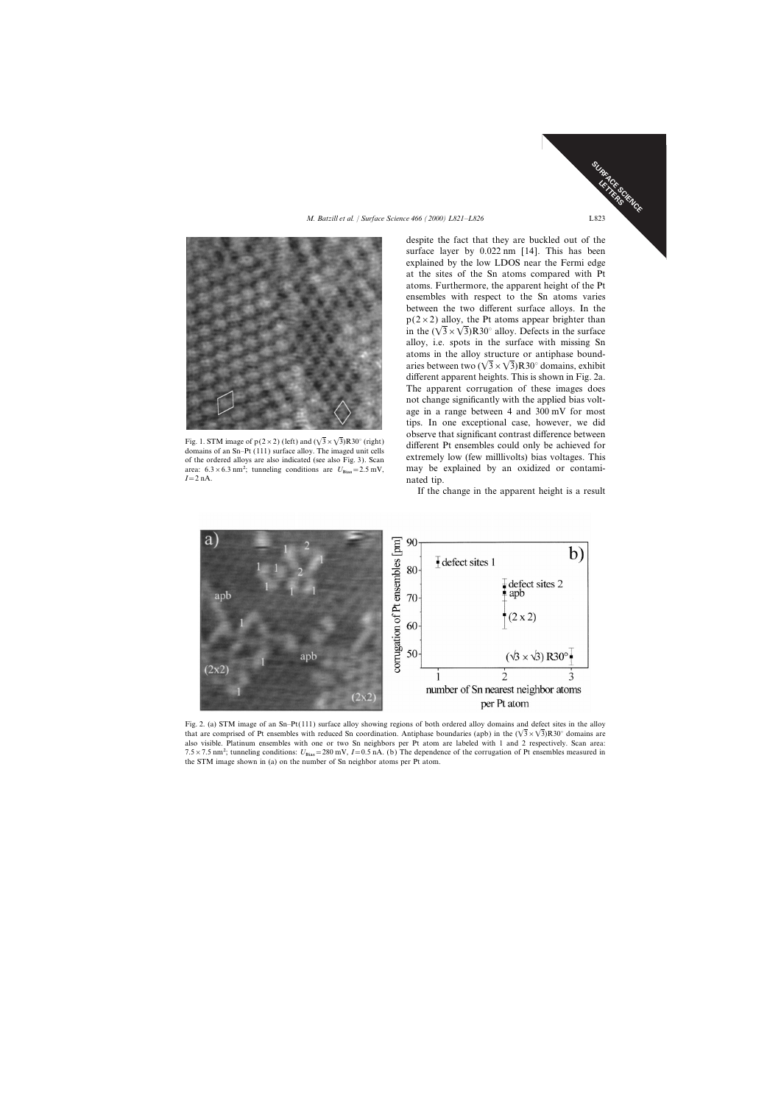

area: 6.3 × 6.3 nm<sup>2</sup>; tunneling conditions are  $U_{\text{bias}} = 2.5 \text{ mV}$ , may be explained by an oxidized or contami-<br> Bias=2.5 mV, mated tip

despite the fact that they are buckled out of the surface layer by  $0.022$  nm [14]. This has been explained by the low LDOS near the Fermi edge at the sites of the Sn atoms compared with Pt atoms. Furthermore, the apparent height of the Pt ensembles with respect to the Sn atoms varies between the two different surface alloys. In the  $p(2\times2)$  alloy, the Pt atoms appear brighter than in the  $(\sqrt{3} \times \sqrt{3})R30^\circ$  alloy. Defects in the surface alloy, i.e. spots in the surface with missing Sn atoms in the alloy structure or antiphase boundaries between two  $(\sqrt{3} \times \sqrt{3})R30^\circ$  domains, exhibit different apparent heights. This is shown in Fig. 2a. The apparent corrugation of these images does not change significantly with the applied bias voltage in a range between 4 and 300 mV for most tips. In one exceptional case, however, we did observe that significant contrast difference between Fig. 1. STM image of  $p(2 \times 2)$  (left) and  $(\sqrt{3} \times \sqrt{3})R30^{\circ}$  (right)<br>domains of an Sn-Pt (111) surface alloy. The imaged unit cells<br>of the ordered alloys are also indicated (see also Fig. 3). Scan extremely low (few m nated tip.

If the change in the apparent height is a result



Fig. 2. (a) STM image of an Sn–Pt(111) surface alloy showing regions of both ordered alloy domains and defect sites in the alloy that are comprised of Pt ensembles with reduced Sn coordination. Antiphase boundaries (apb) in the  $(\sqrt{3}\times\sqrt{3})R30^\circ$  domains are also visible. Platinum ensembles with one or two Sn neighbors per Pt atom are labeled with 1 and 2 respectively. Scan area:  $7.5 \times 7.5$  nm<sup>2</sup>; tunneling conditions:  $U_{\text{bias}} = 280$  mV,  $I = 0.5$  nA. (b) The dependence of the corrugation of Pt ensembles measured in the STM image shown in (a) on the number of Sn neighbor atoms per Pt atom.

SURFACE SCENCE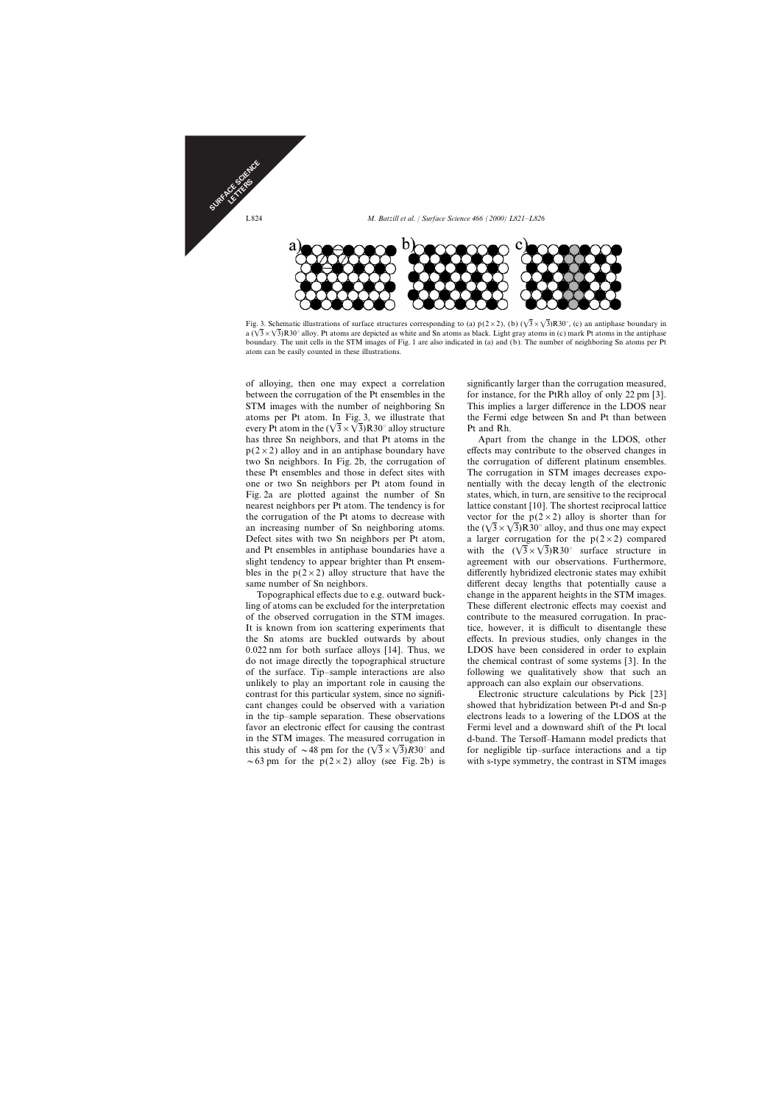

Fig. 3. Schematic illustrations of surface structures corresponding to (a)  $p(2\times2)$ , (b)  $(\sqrt{3}\times\sqrt{3})R30^\circ$ , (c) an antiphase boundary in  $a (\sqrt{3} \times \sqrt{3})R30^\circ$  alloy. Pt atoms are depicted as white and Sn atoms as black. Light gray atoms in (c) mark Pt atoms in the antiphase boundary. The unit cells in the STM images of Fig. 1 are also indicated in (a) and (b). The number of neighboring Sn atoms per Pt atom can be easily counted in these illustrations.

of alloying, then one may expect a correlation significantly larger than the corrugation measured, between the corrugation of the Pt ensembles in the for instance, for the PtRh alloy of only 22 pm [3]. STM images with the number of neighboring Sn This implies a larger difference in the LDOS near atoms per Pt atom. In Fig. 3, we illustrate that the Fermi edge between Sn and Pt than between every Pt atom in the  $(\sqrt{3} \times \sqrt{3})R30^\circ$  alloy structure Pt and Rh. has three Sn neighbors, and that Pt atoms in the Apart from the change in the LDOS, other  $p(2\times2)$  alloy and in an antiphase boundary have effects may contribute to the observed changes in two Sn neighbors. In Fig. 2b, the corrugation of the corrugation of different platinum ensembles. these Pt ensembles and those in defect sites with The corrugation in STM images decreases expoone or two Sn neighbors per Pt atom found in nentially with the decay length of the electronic Fig. 2a are plotted against the number of Sn states, which, in turn, are sensitive to the reciprocal nearest neighbors per Pt atom. The tendency is for lattice constant [10]. The shortest reciprocal lattice the corrugation of the Pt atoms to decrease with vector for the  $p(2\times2)$  alloy is shorter than for an increasing number of Sn neighboring atoms. the  $(\sqrt{3} \times \sqrt{3})R30^\circ$  alloy, and thus one may expect Defect sites with two Sn neighbors per Pt atom, a larger corrugation for the  $p(2\times2)$  compared and Pt ensembles in antiphase boundaries have a with the  $(\sqrt{3} \times \sqrt{3})R30^\circ$  surface structure in slight tendency to appear brighter than Pt ensem- agreement with our observations. Furthermore, bles in the  $p(2\times2)$  alloy structure that have the differently hybridized electronic states may exhibit same number of Sn neighbors.  $\Box$  different decay lengths that potentially cause a

ling of atoms can be excluded for the interpretation These different electronic effects may coexist and of the observed corrugation in the STM images. contribute to the measured corrugation. In prac-It is known from ion scattering experiments that tice, however, it is difficult to disentangle these the Sn atoms are buckled outwards by about effects. In previous studies, only changes in the 0.022 nm for both surface alloys [14]. Thus, we LDOS have been considered in order to explain do not image directly the topographical structure the chemical contrast of some systems [3]. In the of the surface. Tip–sample interactions are also following we qualitatively show that such an unlikely to play an important role in causing the approach can also explain our observations. contrast for this particular system, since no signifi- Electronic structure calculations by Pick [23] cant changes could be observed with a variation showed that hybridization between Pt-d and Sn-p in the tip–sample separation. These observations electrons leads to a lowering of the LDOS at the favor an electronic effect for causing the contrast Fermi level and a downward shift of the Pt local in the STM images. The measured corrugation in d-band. The Tersoff–Hamann model predicts that this study of  $\sim$ 48 pm for the  $(\sqrt{3} \times \sqrt{3})R30^\circ$  and for negligible tip–surface interactions and a tip ~63 pm for the  $p(2\times2)$  alloy (see Fig. 2b) is with s-type symmetry, the contrast in STM images

Topographical effects due to e.g. outward buck- change in the apparent heights in the STM images.

SURFACE SCREEK CE STRS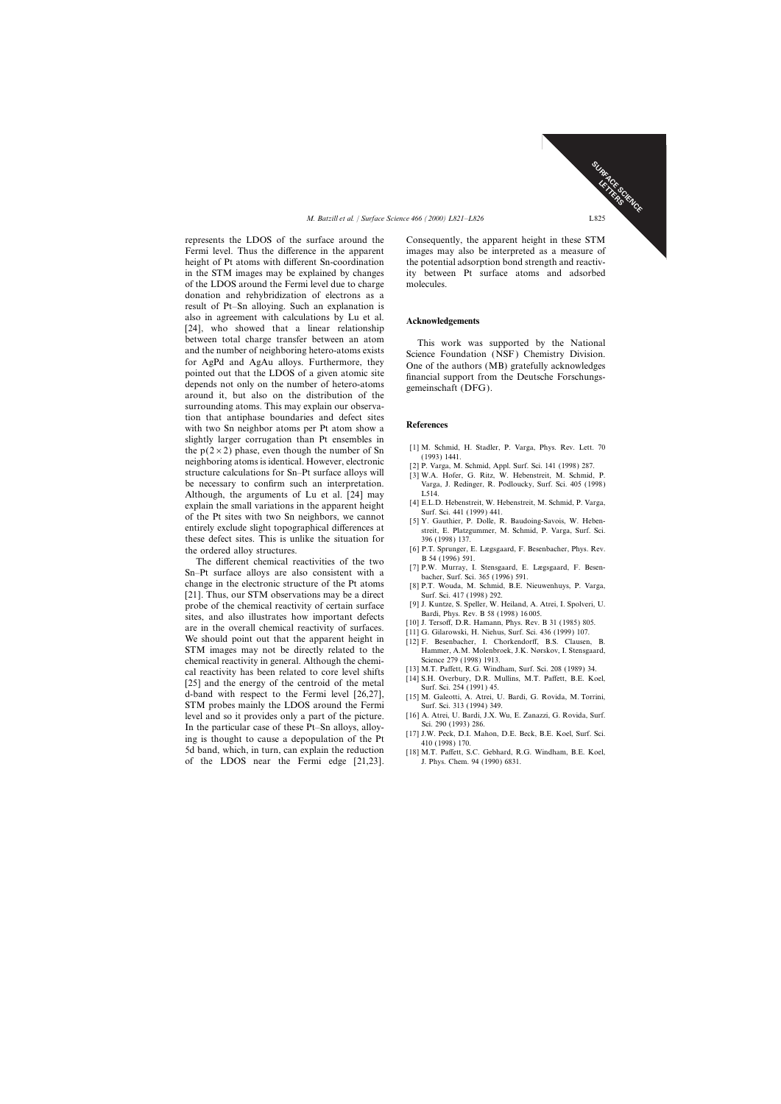represents the LDOS of the surface around the Fermi level. Thus the difference in the apparent height of Pt atoms with different Sn-coordination the potential adsorption bond strength and reactivin the STM images may be explained by changes ity between Pt surface atoms and adsorbed of the LDOS around the Fermi level due to charge molecules. donation and rehybridization of electrons as a result of Pt–Sn alloying. Such an explanation is also in agreement with calculations by Lu et al. **Acknowledgements** [24], who showed that a linear relationship between total charge transfer between an atom<br>and the number of neighboring hetero-atoms exists<br>for AgPd and AgAu alloys. Furthermore, they<br>pointed out that the LDOS of a given atomic site<br>depends not only on the number of surrounding atoms. This may explain our observation that antiphase boundaries and defect sites **References** with two Sn neighbor atoms per Pt atom show a slightly larger corrugation than Pt ensembles in the  $p(2 \times 2)$  phase, even though the number of Sn  $[1]$  M. Schmid, H. Stadler, P. Varga, Phys. Rev. Lett. 70<br>neighboring atoms is identical. However, electronic  $[2]$  P. Varga, M. Schmid, Appl. Surf. Sci. 141 (1998) 287. be necessary to confirm such an interpretation. Varga, J. Redinger, R. Podloucky, Surf. Sci. 405 (1998) Although, the arguments of Lu et al. [24] may L514.<br>
avalain the small variations in the apparent beight [4] E.L.D. Hebenstreit, W. Hebenstreit, M. Schmid, P. Varga, explain the small variations in the apparent height of the Pt sites with two Sn neighbors, we cannot of the Pt sites with two Sn neighbors, we cannot entirely exclude slight topographical differences at estimately exclude these defect sites. This is unlike the situation for 396 (1998) 137.

The different chemical reactivities of the two<br>
[7] P.W. Murray, I. Stensgaard, E. Lægsgaard, F. Besen-<br>
[7] P.W. Murray, I. Stensgaard, E. Lægsgaard, F. Besen- $\text{Sn-Pt}$  surface alloys are also consistent with a bacher, Surf. Sci. 365 (1996) 591. change in the electronic structure of the Pt atoms [8] P.T. Wouda, M. Schmid, B.E. Nieuwenhuys, P. Varga, [21]. Thus, our STM observations may be a direct surf. Sci. 417 (1998) 292.<br>
probe of the chemical reactivity of certain surface [9] J. Kuntze, S. Speller, W. Heiland, A. Atrei, I. Spolveri, U. probe of the chemical reactivity of certain surface [9] J. Kuntze, S. Speller, W. Heiland, A. A. Atrician surface is now important defects and also illustrates how important defects Bardi, Phys. Rev. B 58 (1998) 16005. sites, and also illustrates how important defects<br>are in the overall chemical reactivity of surfaces.<br>We should point out that the apparent height in<br> $[10]$  J. Tersoff, D.R. Hamann, Phys. Rev. B 31 (1985) 805.<br>Ill G. Gilar STM images may not be directly related to the Hammer, A.M. Molenbroek, J.K. Nørskov, I. Stensgaard, chemical reactivity in general. Although the chemi-<br>
cal reactivity has been related to core level shifts [13] M.T. Paffett, R.G. Windham, Surf. Sci. 208 (1989) 34. cal reactivity has been related to core level shifts [13] M.T. Paffett, R.G. Windham, Surf. Sci. 208 (1989) 34.<br>
[25] and the energy of the centroid of the metal d-band with respect to the Fermi level [26,27], [15] M. Gal STM probes mainly the LDOS around the Fermi Surf. Sci. 313 (1994) 349. [16] A. Atrei, U. Bardi, J.X. Wu, E. Zanazzi, G. Rovida, Surf.<br>
In the perticular case of these Pt. Sn elleve allow Sci. 290 (1993) 286. In the particular case of these Pt-Sn alloys, alloy-<br>ing is thought to cause a depopulation of the Pt<br>5d band, which, in turn, can explain the reduction<br> $\begin{bmatrix} 17 \end{bmatrix}$  J.W. Peck, D.I. Mahon, D.E. Beck, B.E. Koel, Surf. of the LDOS near the Fermi edge [21,23]. J. Phys. Chem. 94 (1990) 6831.

Consequently, the apparent height in these STM images may also be interpreted as a measure of

- 
- 
- 
- 
- 
- the ordered alloy structures. [6] P.T. Sprunger, E. Lægsgaard, F. Besenbacher, Phys. Rev.<br>The different chemical reactivities of the two B 54 (1996) 591.
	-
	-
	-
	-
	-
	- [12] F. Besenbacher, I. Chorkendorff, B.S. Clausen, B.
	-
	-
	-
	-
	-
	-

SURFACE SCENCE